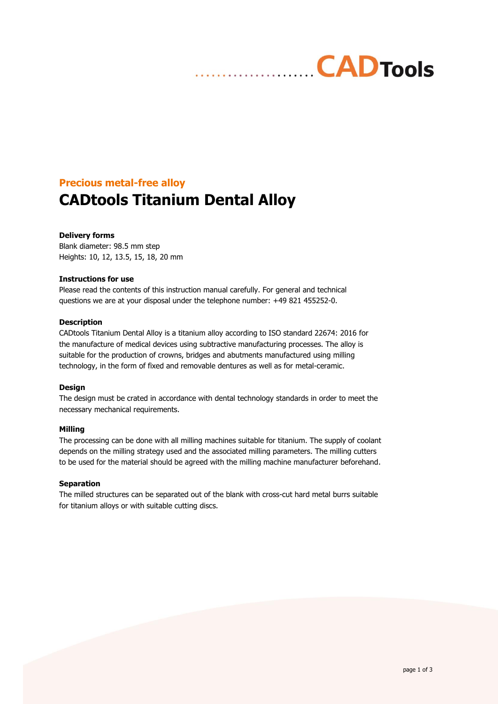## **Precious metal-free alloy**

# **CADtools Titanium Dental Alloy**

#### **Delivery forms**

Blank diameter: 98.5 mm step Heights: 10, 12, 13.5, 15, 18, 20 mm

#### **Instructions for use**

Please read the contents of this instruction manual carefully. For general and technical questions we are at your disposal under the telephone number: +49 821 455252-0.

#### **Description**

CADtools Titanium Dental Alloy is a titanium alloy according to ISO standard 22674: 2016 for the manufacture of medical devices using subtractive manufacturing processes. The alloy is suitable for the production of crowns, bridges and abutments manufactured using milling technology, in the form of fixed and removable dentures as well as for metal-ceramic.

#### **Design**

The design must be crated in accordance with dental technology standards in order to meet the necessary mechanical requirements.

#### **Milling**

The processing can be done with all milling machines suitable for titanium. The supply of coolant depends on the milling strategy used and the associated milling parameters. The milling cutters to be used for the material should be agreed with the milling machine manufacturer beforehand.

#### **Separation**

The milled structures can be separated out of the blank with cross-cut hard metal burrs suitable for titanium alloys or with suitable cutting discs.

**CADTools**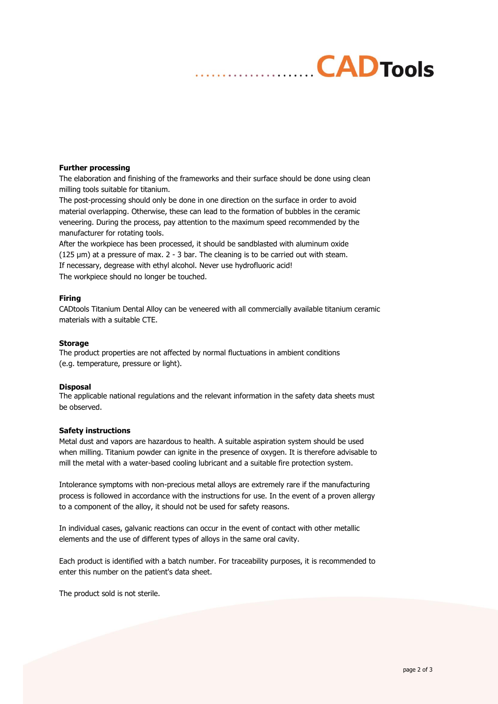#### **Further processing**

The elaboration and finishing of the frameworks and their surface should be done using clean milling tools suitable for titanium.

The post-processing should only be done in one direction on the surface in order to avoid material overlapping. Otherwise, these can lead to the formation of bubbles in the ceramic veneering. During the process, pay attention to the maximum speed recommended by the manufacturer for rotating tools.

After the workpiece has been processed, it should be sandblasted with aluminum oxide (125 μm) at a pressure of max. 2 - 3 bar. The cleaning is to be carried out with steam. If necessary, degrease with ethyl alcohol. Never use hydrofluoric acid! The workpiece should no longer be touched.

#### **Firing**

CADtools Titanium Dental Alloy can be veneered with all commercially available titanium ceramic materials with a suitable CTE.

#### **Storage**

The product properties are not affected by normal fluctuations in ambient conditions (e.g. temperature, pressure or light).

#### **Disposal**

The applicable national regulations and the relevant information in the safety data sheets must be observed.

#### **Safety instructions**

Metal dust and vapors are hazardous to health. A suitable aspiration system should be used when milling. Titanium powder can ignite in the presence of oxygen. It is therefore advisable to mill the metal with a water-based cooling lubricant and a suitable fire protection system.

Intolerance symptoms with non-precious metal alloys are extremely rare if the manufacturing process is followed in accordance with the instructions for use. In the event of a proven allergy to a component of the alloy, it should not be used for safety reasons.

In individual cases, galvanic reactions can occur in the event of contact with other metallic elements and the use of different types of alloys in the same oral cavity.

Each product is identified with a batch number. For traceability purposes, it is recommended to enter this number on the patient's data sheet.

The product sold is not sterile.

**CADTools**